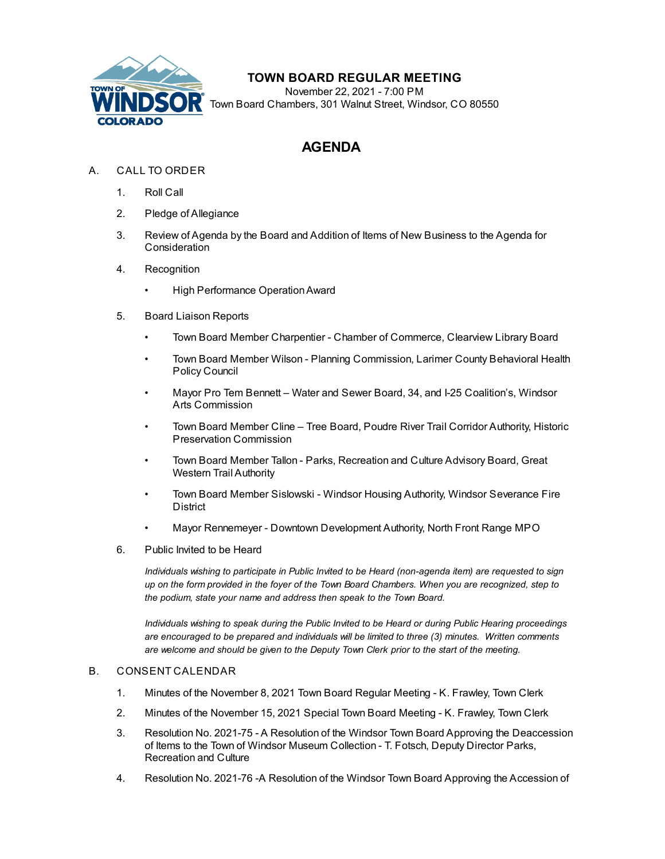

## **TOWN BOARD REGULAR MEETING**

November 22, 2021 - 7:00 PM Town Board Chambers, 301 Walnut Street, Windsor, CO 80550

## **AGENDA**

- A. CALL TO ORDER
	- 1. Roll Call
	- 2. Pledge of Allegiance
	- 3. Review of Agenda by the Board and Addition of Items of New Business to the Agenda for **Consideration**
	- 4. Recognition
		- High Performance [OperationAward](file:///C:/Windows/TEMP/CoverSheet.aspx?ItemID=1796&MeetingID=273)
	- 5. Board Liaison Reports
		- Town Board Member Charpentier Chamber of Commerce, Clearview Library Board
		- Town Board Member Wilson Planning Commission, Larimer County Behavioral Health Policy Council
		- Mayor Pro Tem Bennett Water and Sewer Board, 34, and I-25 Coalition's, Windsor Arts Commission
		- Town Board Member Cline Tree Board, Poudre River Trail Corridor Authority, Historic Preservation Commission
		- Town Board Member Tallon Parks, Recreation and Culture Advisory Board, Great Western Trail Authority
		- Town Board Member Sislowski Windsor Housing Authority, Windsor Severance Fire District
		- Mayor Rennemeyer Downtown Development Authority, North Front Range MPO
	- 6. Public Invited to be Heard

*Individuals wishing to participate in Public Invited to be Heard (non-agenda item) are requested to sign* up on the form provided in the foyer of the Town Board Chambers. When you are recognized, step to *the podium, state your name and address then speak to the Town Board.*

*Individuals wishing to speak during the Public Invited to be Heard or during Public Hearing proceedings are encouraged to be prepared and individuals will be limited to three (3) minutes. Written comments are welcome and should be given to the Deputy Town Clerk prior to the start of the meeting.*

## B. CONSENT CALENDAR

- 1. Minutes of the [November](file:///C:/Windows/TEMP/CoverSheet.aspx?ItemID=1798&MeetingID=273) 8, 2021 Town Board Regular Meeting K. Frawley, Town Clerk
- 2. Minutes of the [November](file:///C:/Windows/TEMP/CoverSheet.aspx?ItemID=1825&MeetingID=273) 15, 2021 Special Town Board Meeting K. Frawley, Town Clerk
- 3. Resolution No. 2021-75 A Resolution of the Windsor Town Board Approving the [Deaccession](file:///C:/Windows/TEMP/CoverSheet.aspx?ItemID=1770&MeetingID=273) of Items to the Town of Windsor Museum Collection - T. Fotsch, Deputy Director Parks, Recreation and Culture
- 4. Resolution No. 2021-76 -A Resolution of the Windsor Town Board Approving the Accession of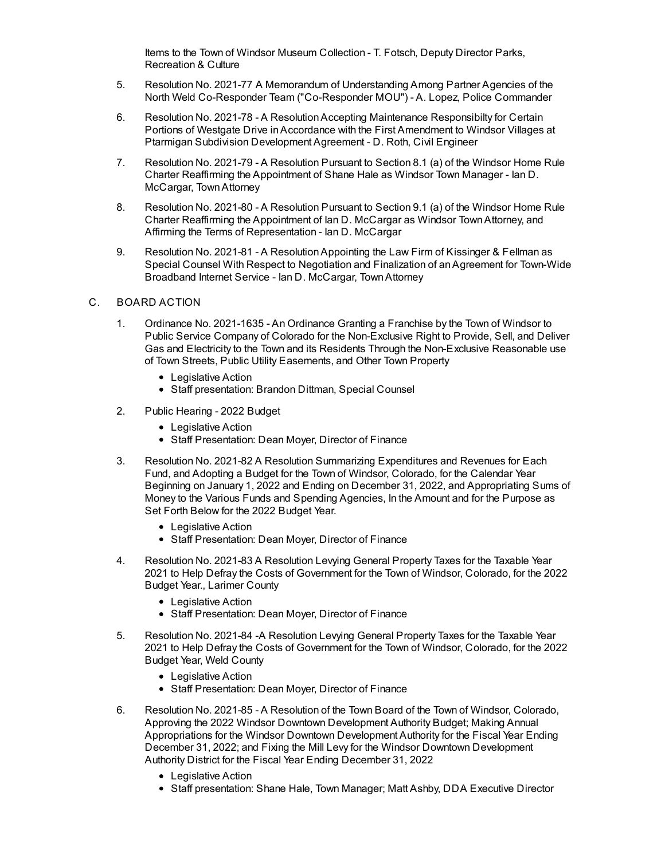Items to the Town of Windsor Museum [Collection](file:///C:/Windows/TEMP/CoverSheet.aspx?ItemID=1822&MeetingID=273) - T. Fotsch, Deputy Director Parks, Recreation & Culture

- 5. Resolution No. 2021-77 A Memorandum of [Understanding](file:///C:/Windows/TEMP/CoverSheet.aspx?ItemID=1789&MeetingID=273) Among Partner Agencies of the North Weld Co-Responder Team ("Co-Responder MOU") - A. Lopez, Police Commander
- 6. Resolution No. 2021-78 A [ResolutionAccepting](file:///C:/Windows/TEMP/CoverSheet.aspx?ItemID=1799&MeetingID=273) Maintenance Responsibilty for Certain Portions of Westgate Drive inAccordance with the First Amendment to Windsor Villages at Ptarmigan Subdivision Development Agreement - D. Roth, Civil Engineer
- 7. Resolution No. 2021-79 A Resolution Pursuant to Section 8.1 (a) of the Windsor Home Rule Charter Reaffirming the [Appointment](file:///C:/Windows/TEMP/CoverSheet.aspx?ItemID=1808&MeetingID=273) of Shane Hale as Windsor Town Manager - Ian D. McCargar, TownAttorney
- 8. Resolution No. 2021-80 A Resolution Pursuant to Section 9.1 (a) of the Windsor Home Rule Charter Reaffirming the Appointment of Ian D. McCargar as Windsor [TownAttorney,](file:///C:/Windows/TEMP/CoverSheet.aspx?ItemID=1809&MeetingID=273) and Affirming the Terms of Representation - Ian D. McCargar
- 9. Resolution No. 2021-81 A [ResolutionAppointing](file:///C:/Windows/TEMP/CoverSheet.aspx?ItemID=1811&MeetingID=273) the Law Firm of Kissinger & Fellman as Special Counsel With Respect to Negotiation and Finalization of an Agreement for Town-Wide Broadband Internet Service - Ian D. McCargar, TownAttorney

## C. BOARD ACTION

- 1. Ordinance No. 2021-1635 An Ordinance Granting a Franchise by the Town of Windsor to Public Service Company of Colorado for the [Non-Exclusive](file:///C:/Windows/TEMP/CoverSheet.aspx?ItemID=1790&MeetingID=273) Right to Provide, Sell, and Deliver Gas and Electricity to the Town and its Residents Through the Non-Exclusive Reasonable use of Town Streets, Public Utility Easements, and Other Town Property
	- Legislative Action
	- Staff presentation: Brandon Dittman, Special Counsel
- 2. Public [Hearing](file:///C:/Windows/TEMP/CoverSheet.aspx?ItemID=1802&MeetingID=273) 2022 Budget
	- Legislative Action
	- Staff Presentation: Dean Moyer, Director of Finance
- 3. Resolution No. 2021-82 A Resolution Summarizing Expenditures and Revenues for Each Fund, and Adopting a Budget for the Town of Windsor, Colorado, for the Calendar Year Beginning on January 1, 2022 and Ending on December 31, 2022, and [Appropriating](file:///C:/Windows/TEMP/CoverSheet.aspx?ItemID=1803&MeetingID=273) Sums of Money to the Various Funds and Spending Agencies, In the Amount and for the Purpose as Set Forth Below for the 2022 Budget Year.
	- Legislative Action
	- Staff Presentation: Dean Moyer, Director of Finance
- 4. Resolution No. 2021-83 A Resolution Levying General Property Taxes for the Taxable Year 2021 to Help Defray the Costs of [Government](file:///C:/Windows/TEMP/CoverSheet.aspx?ItemID=1806&MeetingID=273) for the Town of Windsor, Colorado, for the 2022 Budget Year., Larimer County
	- Legislative Action
	- Staff Presentation: Dean Moyer, Director of Finance
- 5. Resolution No. 2021-84 -A Resolution Levying General Property Taxes for the Taxable Year 2021 to Help Defray the Costs of [Government](file:///C:/Windows/TEMP/CoverSheet.aspx?ItemID=1805&MeetingID=273) for the Town of Windsor, Colorado, for the 2022 Budget Year, Weld County
	- Legislative Action
	- Staff Presentation: Dean Moyer, Director of Finance
- 6. Resolution No. 2021-85 A Resolution of the Town Board of the Town of Windsor, Colorado, Approving the 2022 Windsor Downtown Development Authority Budget; Making Annual [Appropriations](file:///C:/Windows/TEMP/CoverSheet.aspx?ItemID=1786&MeetingID=273) for the Windsor Downtown Development Authority for the Fiscal Year Ending December 31, 2022; and Fixing the Mill Levy for the Windsor Downtown Development Authority District for the Fiscal Year Ending December 31, 2022
	- Legislative Action
	- Staff presentation: Shane Hale, Town Manager; Matt Ashby, DDA Executive Director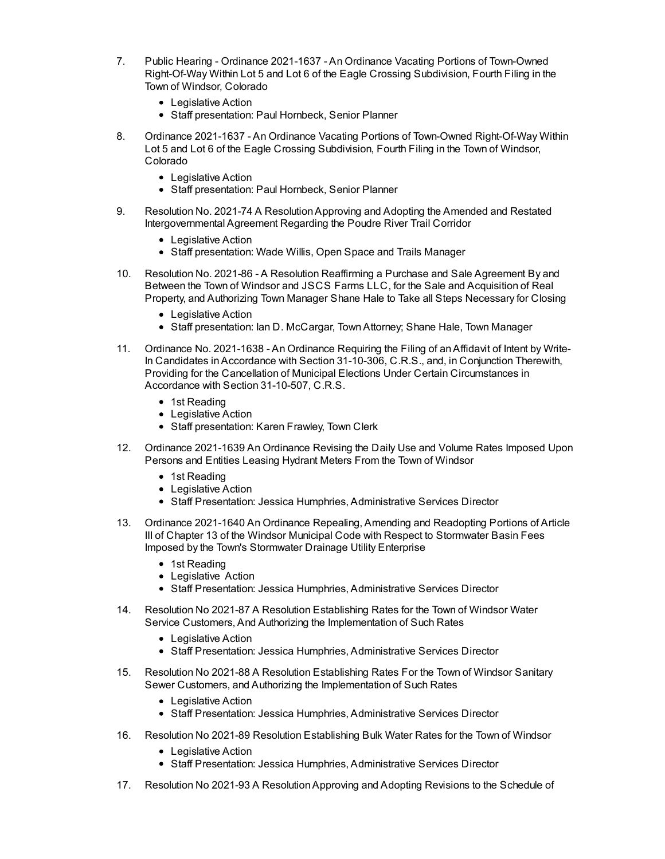- 7. Public Hearing Ordinance 2021-1637 An Ordinance Vacating Portions of Town-Owned [Right-Of-Way](file:///C:/Windows/TEMP/CoverSheet.aspx?ItemID=1776&MeetingID=273) Within Lot 5 and Lot 6 of the Eagle Crossing Subdivision, Fourth Filing in the Town of Windsor, Colorado
	- Legislative Action
	- Staff presentation: Paul Hornbeck, Senior Planner
- 8. Ordinance 2021-1637 An Ordinance Vacating Portions of Town-Owned [Right-Of-Way](file:///C:/Windows/TEMP/CoverSheet.aspx?ItemID=1777&MeetingID=273) Within Lot 5 and Lot 6 of the Eagle Crossing Subdivision, Fourth Filing in the Town of Windsor, Colorado
	- Legislative Action
	- Staff presentation: Paul Hornbeck, Senior Planner
- 9. Resolution No. 2021-74 A [ResolutionApproving](file:///C:/Windows/TEMP/CoverSheet.aspx?ItemID=1804&MeetingID=273) and Adopting the Amended and Restated Intergovernmental Agreement Regarding the Poudre River Trail Corridor
	- Legislative Action
	- Staff presentation: Wade Willis, Open Space and Trails Manager
- 10. Resolution No. 2021-86 A Resolution [Reaffirming](file:///C:/Windows/TEMP/CoverSheet.aspx?ItemID=1787&MeetingID=273) a Purchase and Sale Agreement By and Between the Town of Windsor and JSCS Farms LLC, for the Sale and Acquisition of Real Property, and Authorizing Town Manager Shane Hale to Take all Steps Necessary for Closing
	- Legislative Action
	- Staff presentation: Ian D. McCargar, TownAttorney; Shane Hale, Town Manager
- 11. Ordinance No. 2021-1638 An Ordinance Requiring the Filing of anAffidavit of Intent by Write-In Candidates inAccordance with Section 31-10-306, C.R.S., and, in Conjunction Therewith, Providing for the Cancellation of Municipal Elections Under Certain [Circumstances](file:///C:/Windows/TEMP/CoverSheet.aspx?ItemID=1812&MeetingID=273) in Accordance with Section 31-10-507, C.R.S.
	- 1st Reading
	- Legislative Action
	- Staff presentation: Karen Frawley, Town Clerk
- 12. Ordinance [2021-1639](file:///C:/Windows/TEMP/CoverSheet.aspx?ItemID=1818&MeetingID=273) An Ordinance Revising the Daily Use and Volume Rates Imposed Upon Persons and Entities Leasing Hydrant Meters From the Town of Windsor
	- 1st Reading
	- Legislative Action
	- Staff Presentation: Jessica Humphries, Administrative Services Director
- 13. Ordinance 2021-1640 An Ordinance Repealing, Amending and [Readopting](file:///C:/Windows/TEMP/CoverSheet.aspx?ItemID=1817&MeetingID=273) Portions of Article III of Chapter 13 of the Windsor Municipal Code with Respect to Stormwater Basin Fees Imposed by the Town's Stormwater Drainage Utility Enterprise
	- 1st Reading
	- Legislative Action
	- Staff Presentation: Jessica Humphries, Administrative Services Director
- 14. Resolution No 2021-87 A Resolution Establishing Rates for the Town of Windsor Water Service Customers, And Authorizing the [Implementation](file:///C:/Windows/TEMP/CoverSheet.aspx?ItemID=1813&MeetingID=273) of Such Rates
	- Legislative Action
	- Staff Presentation: Jessica Humphries, Administrative Services Director
- 15. Resolution No 2021-88 A Resolution Establishing Rates For the Town of Windsor Sanitary Sewer Customers, and Authorizing the [Implementation](file:///C:/Windows/TEMP/CoverSheet.aspx?ItemID=1814&MeetingID=273) of Such Rates
	- Legislative Action
	- Staff Presentation: Jessica Humphries, Administrative Services Director
- 16. Resolution No 2021-89 Resolution [Establishing](file:///C:/Windows/TEMP/CoverSheet.aspx?ItemID=1819&MeetingID=273) Bulk Water Rates for the Town of Windsor
	- Legislative Action
	- Staff Presentation: Jessica Humphries, Administrative Services Director
- 17. Resolution No 2021-93 A [ResolutionApproving](file:///C:/Windows/TEMP/CoverSheet.aspx?ItemID=1826&MeetingID=273) and Adopting Revisions to the Schedule of